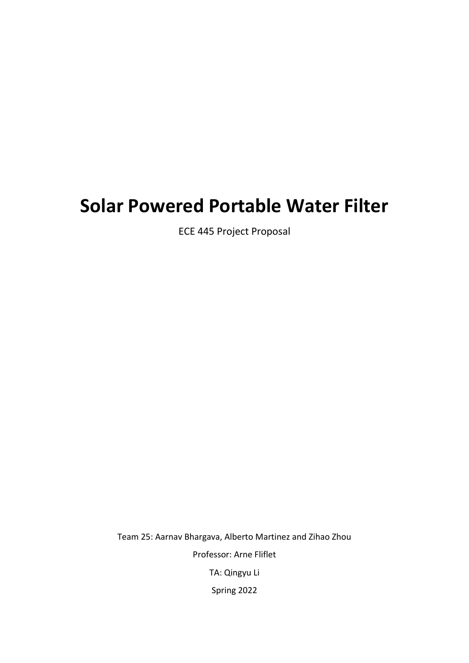# **Solar Powered Portable Water Filter**

ECE 445 Project Proposal

Team 25: Aarnav Bhargava, Alberto Martinez and Zihao Zhou

Professor: Arne Fliflet

TA: Qingyu Li

Spring 2022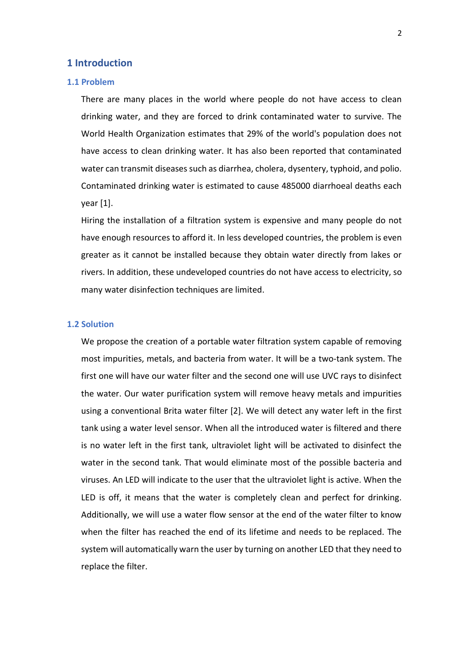## **1 Introduction**

#### **1.1 Problem**

There are many places in the world where people do not have access to clean drinking water, and they are forced to drink contaminated water to survive. The World Health Organization estimates that 29% of the world's population does not have access to clean drinking water. It has also been reported that contaminated water can transmit diseases such as diarrhea, cholera, dysentery, typhoid, and polio. Contaminated drinking water is estimated to cause 485000 diarrhoeal deaths each year [1].

Hiring the installation of a filtration system is expensive and many people do not have enough resources to afford it. In less developed countries, the problem is even greater as it cannot be installed because they obtain water directly from lakes or rivers. In addition, these undeveloped countries do not have access to electricity, so many water disinfection techniques are limited.

## **1.2 Solution**

We propose the creation of a portable water filtration system capable of removing most impurities, metals, and bacteria from water. It will be a two-tank system. The first one will have our water filter and the second one will use UVC rays to disinfect the water. Our water purification system will remove heavy metals and impurities using a conventional Brita water filter [2]. We will detect any water left in the first tank using a water level sensor. When all the introduced water is filtered and there is no water left in the first tank, ultraviolet light will be activated to disinfect the water in the second tank. That would eliminate most of the possible bacteria and viruses. An LED will indicate to the user that the ultraviolet light is active. When the LED is off, it means that the water is completely clean and perfect for drinking. Additionally, we will use a water flow sensor at the end of the water filter to know when the filter has reached the end of its lifetime and needs to be replaced. The system will automatically warn the user by turning on another LED that they need to replace the filter.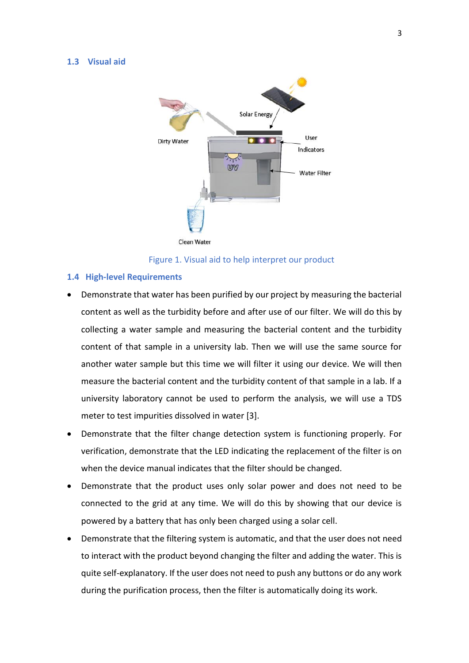#### **1.3 Visual aid**



Figure 1. Visual aid to help interpret our product

#### **1.4 High-level Requirements**

- Demonstrate that water has been purified by our project by measuring the bacterial content as well as the turbidity before and after use of our filter. We will do this by collecting a water sample and measuring the bacterial content and the turbidity content of that sample in a university lab. Then we will use the same source for another water sample but this time we will filter it using our device. We will then measure the bacterial content and the turbidity content of that sample in a lab. If a university laboratory cannot be used to perform the analysis, we will use a TDS meter to test impurities dissolved in water [3].
- Demonstrate that the filter change detection system is functioning properly. For verification, demonstrate that the LED indicating the replacement of the filter is on when the device manual indicates that the filter should be changed.
- Demonstrate that the product uses only solar power and does not need to be connected to the grid at any time. We will do this by showing that our device is powered by a battery that has only been charged using a solar cell.
- Demonstrate that the filtering system is automatic, and that the user does not need to interact with the product beyond changing the filter and adding the water. This is quite self-explanatory. If the user does not need to push any buttons or do any work during the purification process, then the filter is automatically doing its work.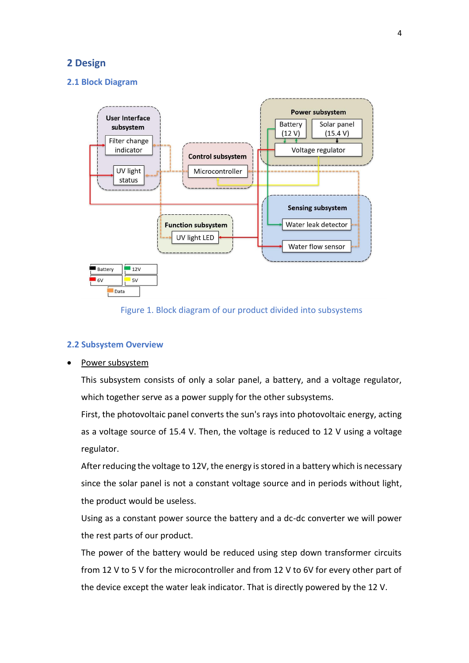# **2 Design**

## **2.1 Block Diagram**



Figure 1. Block diagram of our product divided into subsystems

#### **2.2 Subsystem Overview**

Power subsystem

This subsystem consists of only a solar panel, a battery, and a voltage regulator, which together serve as a power supply for the other subsystems.

First, the photovoltaic panel converts the sun's rays into photovoltaic energy, acting as a voltage source of 15.4 V. Then, the voltage is reduced to 12 V using a voltage regulator.

After reducing the voltage to 12V, the energy is stored in a battery which is necessary since the solar panel is not a constant voltage source and in periods without light, the product would be useless.

Using as a constant power source the battery and a dc-dc converter we will power the rest parts of our product.

The power of the battery would be reduced using step down transformer circuits from 12 V to 5 V for the microcontroller and from 12 V to 6V for every other part of the device except the water leak indicator. That is directly powered by the 12 V.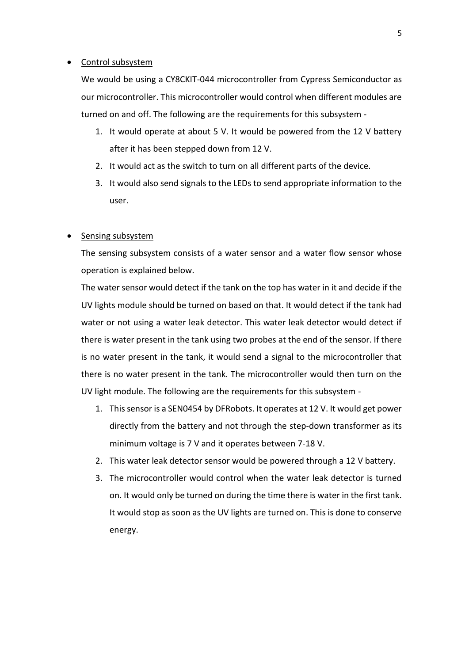### • Control subsystem

We would be using a CY8CKIT-044 microcontroller from Cypress Semiconductor as our microcontroller. This microcontroller would control when different modules are turned on and off. The following are the requirements for this subsystem -

- 1. It would operate at about 5 V. It would be powered from the 12 V battery after it has been stepped down from 12 V.
- 2. It would act as the switch to turn on all different parts of the device.
- 3. It would also send signals to the LEDs to send appropriate information to the user.

### Sensing subsystem

The sensing subsystem consists of a water sensor and a water flow sensor whose operation is explained below.

The water sensor would detect if the tank on the top has water in it and decide if the UV lights module should be turned on based on that. It would detect if the tank had water or not using a water leak detector. This water leak detector would detect if there is water present in the tank using two probes at the end of the sensor. If there is no water present in the tank, it would send a signal to the microcontroller that there is no water present in the tank. The microcontroller would then turn on the UV light module. The following are the requirements for this subsystem -

- 1. This sensor is a SEN0454 by DFRobots. It operates at 12 V. It would get power directly from the battery and not through the step-down transformer as its minimum voltage is 7 V and it operates between 7-18 V.
- 2. This water leak detector sensor would be powered through a 12 V battery.
- 3. The microcontroller would control when the water leak detector is turned on. It would only be turned on during the time there is water in the first tank. It would stop as soon as the UV lights are turned on. This is done to conserve energy.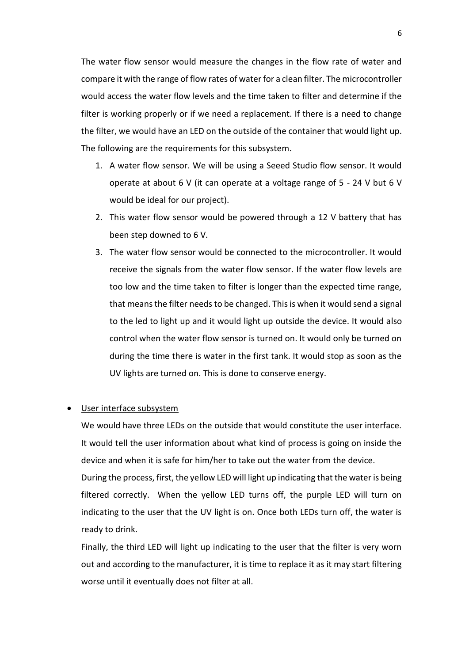The water flow sensor would measure the changes in the flow rate of water and compare it with the range of flow rates of water for a clean filter. The microcontroller would access the water flow levels and the time taken to filter and determine if the filter is working properly or if we need a replacement. If there is a need to change the filter, we would have an LED on the outside of the container that would light up. The following are the requirements for this subsystem.

- 1. A water flow sensor. We will be using a Seeed Studio flow sensor. It would operate at about 6 V (it can operate at a voltage range of 5 - 24 V but 6 V would be ideal for our project).
- 2. This water flow sensor would be powered through a 12 V battery that has been step downed to 6 V.
- 3. The water flow sensor would be connected to the microcontroller. It would receive the signals from the water flow sensor. If the water flow levels are too low and the time taken to filter is longer than the expected time range, that means the filter needs to be changed. This is when it would send a signal to the led to light up and it would light up outside the device. It would also control when the water flow sensor is turned on. It would only be turned on during the time there is water in the first tank. It would stop as soon as the UV lights are turned on. This is done to conserve energy.

#### • User interface subsystem

We would have three LEDs on the outside that would constitute the user interface. It would tell the user information about what kind of process is going on inside the device and when it is safe for him/her to take out the water from the device. During the process, first, the yellow LED will light up indicating that the water is being filtered correctly. When the yellow LED turns off, the purple LED will turn on indicating to the user that the UV light is on. Once both LEDs turn off, the water is ready to drink.

Finally, the third LED will light up indicating to the user that the filter is very worn out and according to the manufacturer, it is time to replace it as it may start filtering worse until it eventually does not filter at all.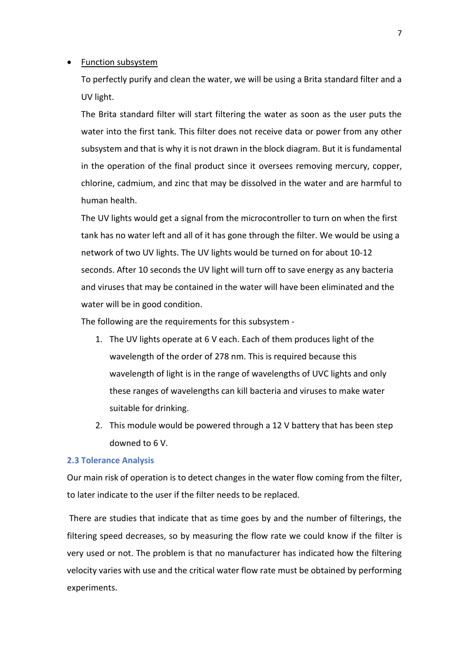#### **Function subsystem**

To perfectly purify and clean the water, we will be using a Brita standard filter and a UV light.

The Brita standard filter will start filtering the water as soon as the user puts the water into the first tank. This filter does not receive data or power from any other subsystem and that is why it is not drawn in the block diagram. But it is fundamental in the operation of the final product since it oversees removing mercury, copper, chlorine, cadmium, and zinc that may be dissolved in the water and are harmful to human health.

The UV lights would get a signal from the microcontroller to turn on when the first tank has no water left and all of it has gone through the filter. We would be using a network of two UV lights. The UV lights would be turned on for about 10-12 seconds. After 10 seconds the UV light will turn off to save energy as any bacteria and viruses that may be contained in the water will have been eliminated and the water will be in good condition.

The following are the requirements for this subsystem -

- 1. The UV lights operate at 6 V each. Each of them produces light of the wavelength of the order of 278 nm. This is required because this wavelength of light is in the range of wavelengths of UVC lights and only these ranges of wavelengths can kill bacteria and viruses to make water suitable for drinking.
- 2. This module would be powered through a 12 V battery that has been step downed to 6 V.

## **2.3 Tolerance Analysis**

Our main risk of operation is to detect changes in the water flow coming from the filter, to later indicate to the user if the filter needs to be replaced.

There are studies that indicate that as time goes by and the number of filterings, the filtering speed decreases, so by measuring the flow rate we could know if the filter is very used or not. The problem is that no manufacturer has indicated how the filtering velocity varies with use and the critical water flow rate must be obtained by performing experiments.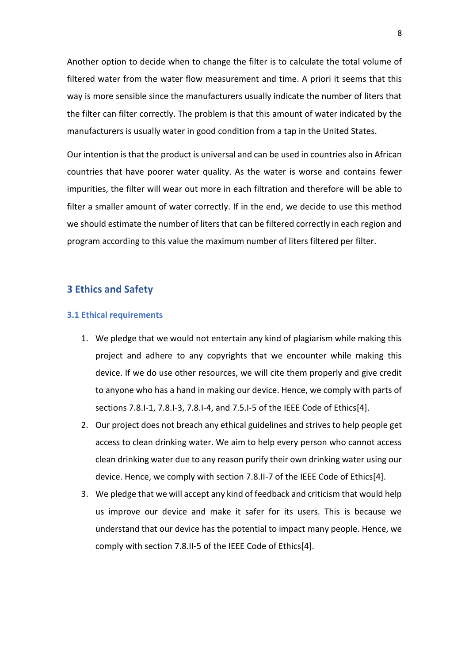Another option to decide when to change the filter is to calculate the total volume of filtered water from the water flow measurement and time. A priori it seems that this way is more sensible since the manufacturers usually indicate the number of liters that the filter can filter correctly. The problem is that this amount of water indicated by the manufacturers is usually water in good condition from a tap in the United States.

Our intention is that the product is universal and can be used in countries also in African countries that have poorer water quality. As the water is worse and contains fewer impurities, the filter will wear out more in each filtration and therefore will be able to filter a smaller amount of water correctly. If in the end, we decide to use this method we should estimate the number of liters that can be filtered correctly in each region and program according to this value the maximum number of liters filtered per filter.

# **3 Ethics and Safety**

## **3.1 Ethical requirements**

- 1. We pledge that we would not entertain any kind of plagiarism while making this project and adhere to any copyrights that we encounter while making this device. If we do use other resources, we will cite them properly and give credit to anyone who has a hand in making our device. Hence, we comply with parts of sections 7.8.I-1, 7.8.I-3, 7.8.I-4, and 7.5.I-5 of the IEEE Code of Ethics[4].
- 2. Our project does not breach any ethical guidelines and strives to help people get access to clean drinking water. We aim to help every person who cannot access clean drinking water due to any reason purify their own drinking water using our device. Hence, we comply with section 7.8.II-7 of the IEEE Code of Ethics[4].
- 3. We pledge that we will accept any kind of feedback and criticism that would help us improve our device and make it safer for its users. This is because we understand that our device has the potential to impact many people. Hence, we comply with section 7.8.II-5 of the IEEE Code of Ethics[4].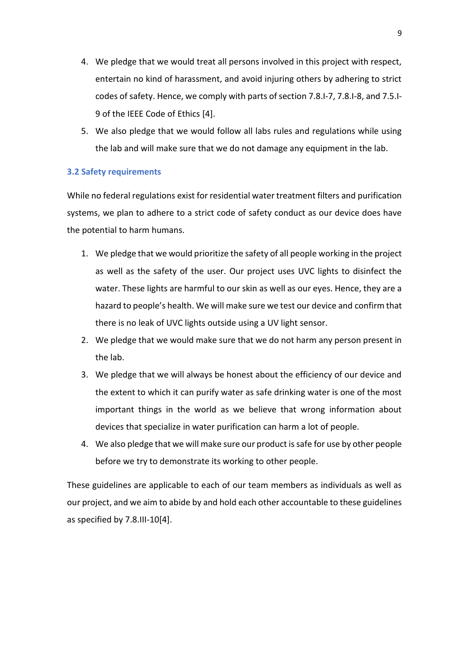- 4. We pledge that we would treat all persons involved in this project with respect, entertain no kind of harassment, and avoid injuring others by adhering to strict codes of safety. Hence, we comply with parts of section 7.8.I-7, 7.8.I-8, and 7.5.I-9 of the IEEE Code of Ethics [4].
- 5. We also pledge that we would follow all labs rules and regulations while using the lab and will make sure that we do not damage any equipment in the lab.

## **3.2 Safety requirements**

While no federal regulations exist for residential water treatment filters and purification systems, we plan to adhere to a strict code of safety conduct as our device does have the potential to harm humans.

- 1. We pledge that we would prioritize the safety of all people working in the project as well as the safety of the user. Our project uses UVC lights to disinfect the water. These lights are harmful to our skin as well as our eyes. Hence, they are a hazard to people's health. We will make sure we test our device and confirm that there is no leak of UVC lights outside using a UV light sensor.
- 2. We pledge that we would make sure that we do not harm any person present in the lab.
- 3. We pledge that we will always be honest about the efficiency of our device and the extent to which it can purify water as safe drinking water is one of the most important things in the world as we believe that wrong information about devices that specialize in water purification can harm a lot of people.
- 4. We also pledge that we will make sure our product is safe for use by other people before we try to demonstrate its working to other people.

These guidelines are applicable to each of our team members as individuals as well as our project, and we aim to abide by and hold each other accountable to these guidelines as specified by 7.8.III-10[4].